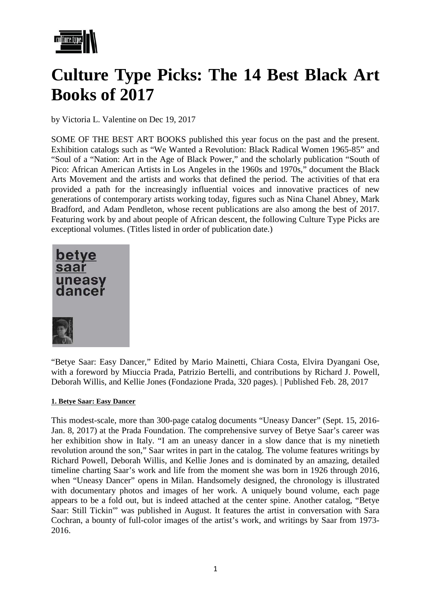

# **Culture Type Picks: The 14 Best Black Art Books of 2017**

by Victoria L. Valentine on Dec 19, 2017

SOME OF THE BEST ART BOOKS published this year focus on the past and the present. Exhibition catalogs such as ["We Wanted a Revolution: Black Radical Women 1965-85"](http://amzn.to/2yvVLBJ) and "Soul of a "Nation: Art in the Age of Black Power," and the scholarly publication "South of Pico: African American Artists in Los Angeles in the 1960s and 1970s," document the Black Arts Movement and the artists and works that defined the period. The activities of that era provided a path for the increasingly influential voices and innovative practices of new generations of contemporary artists working today, figures such as Nina Chanel Abney, Mark Bradford, and Adam Pendleton, whose recent publications are also among the best of 2017. Featuring work by and about people of African descent, the following Culture Type Picks are exceptional volumes. (Titles listed in order of publication date.)



"Betye Saar: Easy Dancer," Edited by Mario Mainetti, Chiara Costa, Elvira Dyangani Ose, with a foreword by Miuccia Prada, Patrizio Bertelli, and contributions by Richard J. Powell, Deborah Willis, and Kellie Jones (Fondazione Prada, 320 pages). | Published Feb. 28, 2017

#### **1. Betye Saar: Easy Dancer**

This modest-scale, more than 300-page catalog documents "Uneasy Dancer" (Sept. 15, 2016- Jan. 8, 2017) at the Prada Foundation. The comprehensive survey of Betye Saar's career was her exhibition show in Italy. "I am an uneasy dancer in a slow dance that is my ninetieth revolution around the son," Saar writes in part in the catalog. The volume features writings by Richard Powell, Deborah Willis, and Kellie Jones and is dominated by an amazing, detailed timeline charting Saar's work and life from the moment she was born in 1926 through 2016, when "Uneasy Dancer" opens in Milan. Handsomely designed, the chronology is illustrated with documentary photos and images of her work. A uniquely bound volume, each page appears to be a fold out, but is indeed attached at the center spine. Another catalog, "Betye Saar: Still Tickin'" was published in August. It features the artist in conversation with Sara Cochran, a bounty of full-color images of the artist's work, and writings by Saar from 1973- 2016.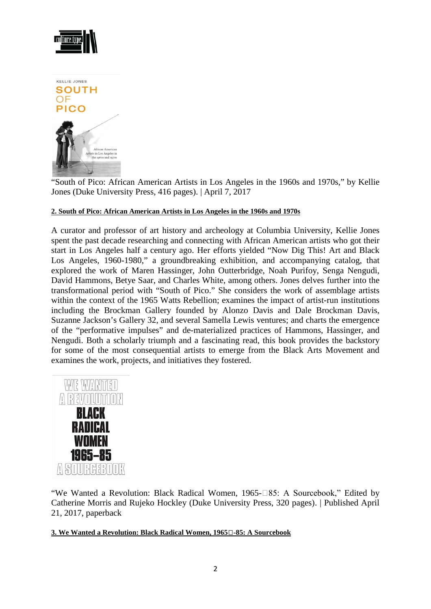

"South of Pico: African American Artists in Los Angeles in the 1960s and 1970s," by Kellie Jones (Duke University Press, 416 pages). | April 7, 2017

## **2. South of Pico: African American Artists in Los Angeles in the 1960s and 1970s**

A curator and professor of art history and archeology at Columbia University, Kellie Jones spent the past decade researching and connecting with African American artists who got their start in Los Angeles half a century ago. Her efforts yielded "Now Dig This! Art and Black Los Angeles, 1960-1980," a groundbreaking exhibition, and accompanying catalog, that explored the work of Maren Hassinger, John Outterbridge, Noah Purifoy, Senga Nengudi, David Hammons, Betye Saar, and Charles White, among others. Jones delves further into the transformational period with "South of Pico." She considers the work of assemblage artists within the context of the 1965 Watts Rebellion; examines the impact of artist-run institutions including the Brockman Gallery founded by Alonzo Davis and Dale Brockman Davis, Suzanne Jackson's Gallery 32, and several Samella Lewis ventures; and charts the emergence of the "performative impulses" and de-materialized practices of Hammons, Hassinger, and Nengudi. Both a scholarly triumph and a fascinating read, this book provides the backstory for some of the most consequential artists to emerge from the Black Arts Movement and examines the work, projects, and initiatives they fostered.



"We Wanted a Revolution: Black Radical Women, 1965-185: A Sourcebook," Edited by Catherine Morris and Rujeko Hockley (Duke University Press, 320 pages). | Published April 21, 2017, paperback

#### **3. We Wanted a Revolution: Black Radical Women, 1965-85: A Sourcebook**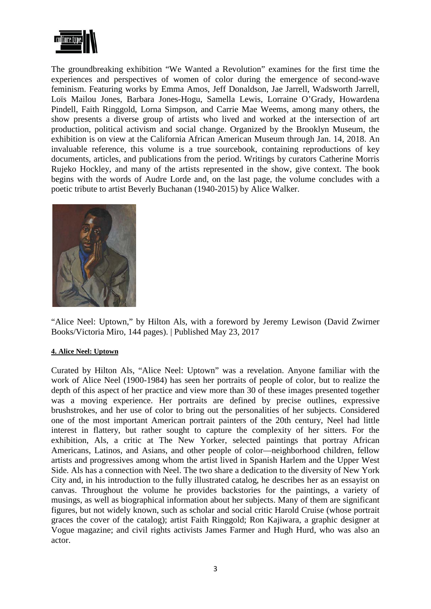

The groundbreaking exhibition "We Wanted a Revolution" examines for the first time the experiences and perspectives of women of color during the emergence of second-wave feminism. Featuring works by Emma Amos, Jeff Donaldson, Jae Jarrell, Wadsworth Jarrell, Loïs Mailou Jones, Barbara Jones-Hogu, Samella Lewis, Lorraine O'Grady, Howardena Pindell, Faith Ringgold, Lorna Simpson, and Carrie Mae Weems, among many others, the show presents a diverse group of artists who lived and worked at the intersection of art production, political activism and social change. Organized by the Brooklyn Museum, the exhibition is on view at the California African American Museum through Jan. 14, 2018. An invaluable reference, this volume is a true sourcebook, containing reproductions of key documents, articles, and publications from the period. Writings by curators Catherine Morris Rujeko Hockley, and many of the artists represented in the show, give context. The book begins with the words of Audre Lorde and, on the last page, the volume concludes with a poetic tribute to artist Beverly Buchanan (1940-2015) by Alice Walker.



"Alice Neel: Uptown," by Hilton Als, with a foreword by Jeremy Lewison (David Zwirner Books/Victoria Miro, 144 pages). | Published May 23, 2017

#### **4. Alice Neel: Uptown**

Curated by Hilton Als, "Alice Neel: Uptown" was a revelation. Anyone familiar with the work of Alice Neel (1900-1984) has seen her portraits of people of color, but to realize the depth of this aspect of her practice and view more than 30 of these images presented together was a moving experience. Her portraits are defined by precise outlines, expressive brushstrokes, and her use of color to bring out the personalities of her subjects. Considered one of the most important American portrait painters of the 20th century, Neel had little interest in flattery, but rather sought to capture the complexity of her sitters. For the exhibition, Als, a critic at The New Yorker, selected paintings that portray African Americans, Latinos, and Asians, and other people of color—neighborhood children, fellow artists and progressives among whom the artist lived in Spanish Harlem and the Upper West Side. Als has a connection with Neel. The two share a dedication to the diversity of New York City and, in his introduction to the fully illustrated catalog, he describes her as an essayist on canvas. Throughout the volume he provides backstories for the paintings, a variety of musings, as well as biographical information about her subjects. Many of them are significant figures, but not widely known, such as scholar and social critic Harold Cruise (whose portrait graces the cover of the catalog); artist Faith Ringgold; Ron Kajiwara, a graphic designer at Vogue magazine; and civil rights activists James Farmer and Hugh Hurd, who was also an actor.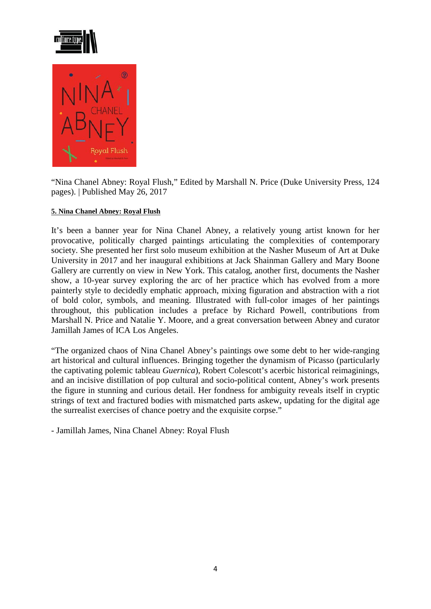

"Nina Chanel Abney: Royal Flush," Edited by Marshall N. Price (Duke University Press, 124 pages). | Published May 26, 2017

## **5. Nina Chanel Abney: Royal Flush**

It's been a banner year for Nina Chanel Abney, a relatively young artist known for her provocative, politically charged paintings articulating the complexities of contemporary society. She presented her first solo museum exhibition at the Nasher Museum of Art at Duke University in 2017 and her inaugural exhibitions at Jack Shainman Gallery and Mary Boone Gallery are currently on view in New York. This catalog, another first, documents the Nasher show, a 10-year survey exploring the arc of her practice which has evolved from a more painterly style to decidedly emphatic approach, mixing figuration and abstraction with a riot of bold color, symbols, and meaning. Illustrated with full-color images of her paintings throughout, this publication includes a preface by Richard Powell, contributions from Marshall N. Price and Natalie Y. Moore, and a great conversation between Abney and curator Jamillah James of ICA Los Angeles.

"The organized chaos of Nina Chanel Abney's paintings owe some debt to her wide-ranging art historical and cultural influences. Bringing together the dynamism of Picasso (particularly the captivating polemic tableau *Guernica*), Robert Colescott's acerbic historical reimaginings, and an incisive distillation of pop cultural and socio-political content, Abney's work presents the figure in stunning and curious detail. Her fondness for ambiguity reveals itself in cryptic strings of text and fractured bodies with mismatched parts askew, updating for the digital age the surrealist exercises of chance poetry and the exquisite corpse."

- Jamillah James, Nina Chanel Abney: Royal Flush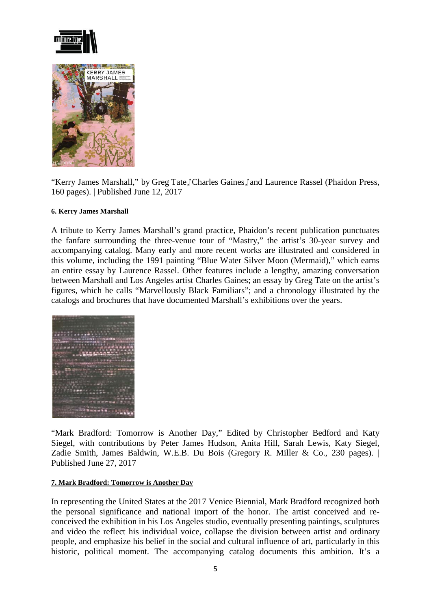



"Kerry James Marshall," by Greg Tate, Charles Gaines, and Laurence Rassel (Phaidon Press, 160 pages). | Published June 12, 2017

## **6. Kerry James Marshall**

A tribute to Kerry James Marshall's grand practice, Phaidon's recent publication punctuates the fanfare surrounding the three-venue tour of "Mastry," the artist's 30-year survey and accompanying catalog. Many early and more recent works are illustrated and considered in this volume, including the 1991 painting "Blue Water Silver Moon (Mermaid)," which earns an entire essay by Laurence Rassel. Other features include a lengthy, amazing conversation between Marshall and Los Angeles artist Charles Gaines; an essay by Greg Tate on the artist's figures, which he calls "Marvellously Black Familiars"; and a chronology illustrated by the catalogs and brochures that have documented Marshall's exhibitions over the years.



"Mark Bradford: Tomorrow is Another Day," Edited by Christopher Bedford and Katy Siegel, with contributions by Peter James Hudson, Anita Hill, Sarah Lewis, Katy Siegel, Zadie Smith, James Baldwin, W.E.B. Du Bois (Gregory R. Miller & Co., 230 pages). | Published June 27, 2017

#### **7. Mark Bradford: Tomorrow is Another Day**

In representing the United States at the 2017 Venice Biennial, Mark Bradford recognized both the personal significance and national import of the honor. The artist conceived and reconceived the exhibition in his Los Angeles studio, eventually presenting paintings, sculptures and video the reflect his individual voice, collapse the division between artist and ordinary people, and emphasize his belief in the social and cultural influence of art, particularly in this historic, political moment. The accompanying catalog documents this ambition. It's a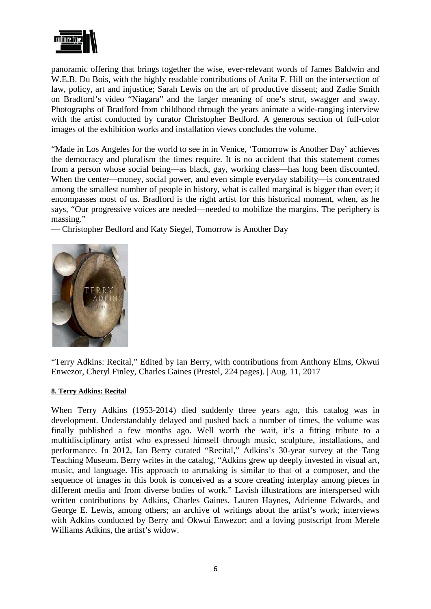

panoramic offering that brings together the wise, ever-relevant words of James Baldwin and W.E.B. Du Bois, with the highly readable contributions of Anita F. Hill on the intersection of law, policy, art and injustice; Sarah Lewis on the art of productive dissent; and Zadie Smith on Bradford's video "Niagara" and the larger meaning of one's strut, swagger and sway. Photographs of Bradford from childhood through the years animate a wide-ranging interview with the artist conducted by curator Christopher Bedford. A generous section of full-color images of the exhibition works and installation views concludes the volume.

"Made in Los Angeles for the world to see in in Venice, 'Tomorrow is Another Day' achieves the democracy and pluralism the times require. It is no accident that this statement comes from a person whose social being—as black, gay, working class—has long been discounted. When the center—money, social power, and even simple everyday stability—is concentrated among the smallest number of people in history, what is called marginal is bigger than ever; it encompasses most of us. Bradford is the right artist for this historical moment, when, as he says, "Our progressive voices are needed—needed to mobilize the margins. The periphery is massing."

— Christopher Bedford and Katy Siegel, Tomorrow is Another Day



"Terry Adkins: Recital," Edited by Ian Berry, with contributions from Anthony Elms, Okwui Enwezor, Cheryl Finley, Charles Gaines (Prestel, 224 pages). | Aug. 11, 2017

#### **8. Terry Adkins: Recital**

When Terry Adkins (1953-2014) died suddenly three years ago, this catalog was in development. Understandably delayed and pushed back a number of times, the volume was finally published a few months ago. Well worth the wait, it's a fitting tribute to a multidisciplinary artist who expressed himself through music, sculpture, installations, and performance. In 2012, Ian Berry curated "Recital," Adkins's 30-year survey at the Tang Teaching Museum. Berry writes in the catalog, "Adkins grew up deeply invested in visual art, music, and language. His approach to artmaking is similar to that of a composer, and the sequence of images in this book is conceived as a score creating interplay among pieces in different media and from diverse bodies of work." Lavish illustrations are interspersed with written contributions by Adkins, Charles Gaines, Lauren Haynes, Adrienne Edwards, and George E. Lewis, among others; an archive of writings about the artist's work; interviews with Adkins conducted by Berry and Okwui Enwezor; and a loving postscript from Merele Williams Adkins, the artist's widow.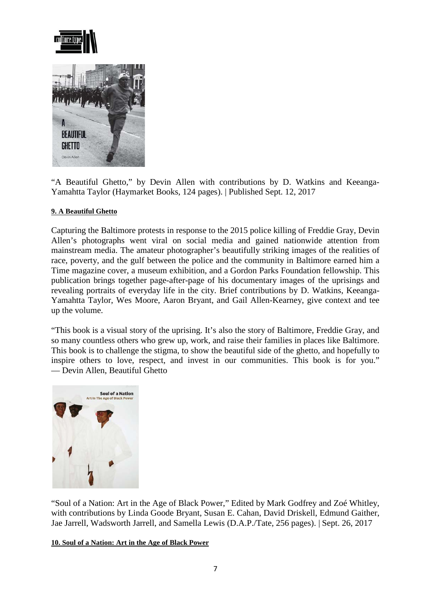

"A Beautiful Ghetto," by Devin Allen with contributions by D. Watkins and Keeanga-Yamahtta Taylor (Haymarket Books, 124 pages). | Published Sept. 12, 2017

## **9. A Beautiful Ghetto**

Capturing the Baltimore protests in response to the 2015 police killing of Freddie Gray, Devin Allen's photographs went viral on social media and gained nationwide attention from mainstream media. The amateur photographer's beautifully striking images of the realities of race, poverty, and the gulf between the police and the community in Baltimore earned him a Time magazine cover, a museum exhibition, and a Gordon Parks Foundation fellowship. This publication brings together page-after-page of his documentary images of the uprisings and revealing portraits of everyday life in the city. Brief contributions by D. Watkins, Keeanga-Yamahtta Taylor, Wes Moore, Aaron Bryant, and Gail Allen-Kearney, give context and tee up the volume.

"This book is a visual story of the uprising. It's also the story of Baltimore, Freddie Gray, and so many countless others who grew up, work, and raise their families in places like Baltimore. This book is to challenge the stigma, to show the beautiful side of the ghetto, and hopefully to inspire others to love, respect, and invest in our communities. This book is for you." — Devin Allen, Beautiful Ghetto



"Soul of a Nation: Art in the Age of Black Power," Edited by Mark Godfrey and Zoé Whitley, with contributions by Linda Goode Bryant, Susan E. Cahan, David Driskell, Edmund Gaither, Jae Jarrell, Wadsworth Jarrell, and Samella Lewis (D.A.P./Tate, 256 pages). | Sept. 26, 2017

#### **10. Soul of a Nation: Art in the Age of Black Power**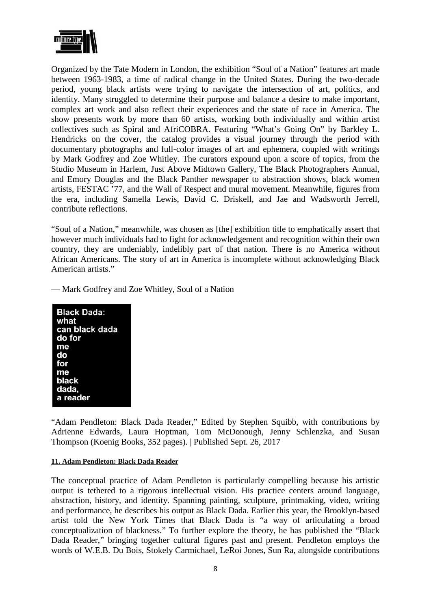

Organized by the Tate Modern in London, the exhibition "Soul of a Nation" features art made between 1963-1983, a time of radical change in the United States. During the two-decade period, young black artists were trying to navigate the intersection of art, politics, and identity. Many struggled to determine their purpose and balance a desire to make important, complex art work and also reflect their experiences and the state of race in America. The show presents work by more than 60 artists, working both individually and within artist collectives such as Spiral and AfriCOBRA. Featuring "What's Going On" by Barkley L. Hendricks on the cover, the catalog provides a visual journey through the period with documentary photographs and full-color images of art and ephemera, coupled with writings by Mark Godfrey and Zoe Whitley. The curators expound upon a score of topics, from the Studio Museum in Harlem, Just Above Midtown Gallery, The Black Photographers Annual, and Emory Douglas and the Black Panther newspaper to abstraction shows, black women artists, FESTAC '77, and the Wall of Respect and mural movement. Meanwhile, figures from the era, including Samella Lewis, David C. Driskell, and Jae and Wadsworth Jerrell, contribute reflections.

"Soul of a Nation," meanwhile, was chosen as [the] exhibition title to emphatically assert that however much individuals had to fight for acknowledgement and recognition within their own country, they are undeniably, indelibly part of that nation. There is no America without African Americans. The story of art in America is incomplete without acknowledging Black American artists."

— Mark Godfrey and Zoe Whitley, Soul of a Nation

| <b>Black Dada:</b> |
|--------------------|
| what               |
| can black dada     |
| do for             |
| me                 |
| do                 |
| for                |
| me                 |
| black              |
| dada,              |
| a reader           |

"Adam Pendleton: Black Dada Reader," Edited by Stephen Squibb, with contributions by Adrienne Edwards, Laura Hoptman, Tom McDonough, Jenny Schlenzka, and Susan Thompson (Koenig Books, 352 pages). | Published Sept. 26, 2017

## **11. Adam Pendleton: Black Dada Reader**

The conceptual practice of Adam Pendleton is particularly compelling because his artistic output is tethered to a rigorous intellectual vision. His practice centers around language, abstraction, history, and identity. Spanning painting, sculpture, printmaking, video, writing and performance, he describes his output as Black Dada. Earlier this year, the Brooklyn-based artist told the New York Times that Black Dada is "a way of articulating a broad conceptualization of blackness." To further explore the theory, he has published the "Black Dada Reader," bringing together cultural figures past and present. Pendleton employs the words of W.E.B. Du Bois, Stokely Carmichael, LeRoi Jones, Sun Ra, alongside contributions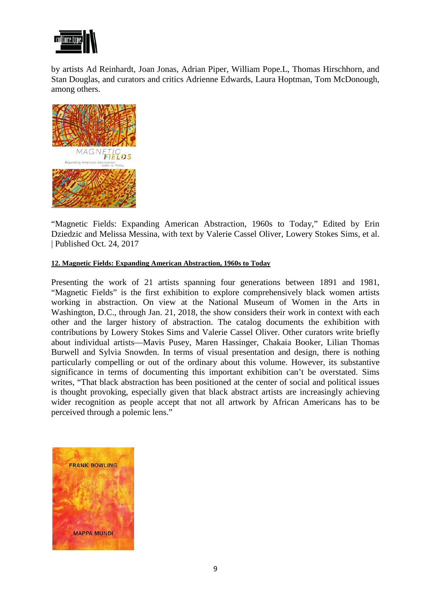

by artists Ad Reinhardt, Joan Jonas, Adrian Piper, William Pope.L, Thomas Hirschhorn, and Stan Douglas, and curators and critics Adrienne Edwards, Laura Hoptman, Tom McDonough, among others.



"Magnetic Fields: Expanding American Abstraction, 1960s to Today," Edited by Erin Dziedzic and Melissa Messina, with text by Valerie Cassel Oliver, Lowery Stokes Sims, et al. | Published Oct. 24, 2017

## **12. Magnetic Fields: Expanding American Abstraction, 1960s to Today**

Presenting the work of 21 artists spanning four generations between 1891 and 1981, "Magnetic Fields" is the first exhibition to explore comprehensively black women artists working in abstraction. On view at the National Museum of Women in the Arts in Washington, D.C., through Jan. 21, 2018, the show considers their work in context with each other and the larger history of abstraction. The catalog documents the exhibition with contributions by Lowery Stokes Sims and Valerie Cassel Oliver. Other curators write briefly about individual artists—Mavis Pusey, Maren Hassinger, Chakaia Booker, Lilian Thomas Burwell and Sylvia Snowden. In terms of visual presentation and design, there is nothing particularly compelling or out of the ordinary about this volume. However, its substantive significance in terms of documenting this important exhibition can't be overstated. Sims writes, "That black abstraction has been positioned at the center of social and political issues is thought provoking, especially given that black abstract artists are increasingly achieving wider recognition as people accept that not all artwork by African Americans has to be perceived through a polemic lens."

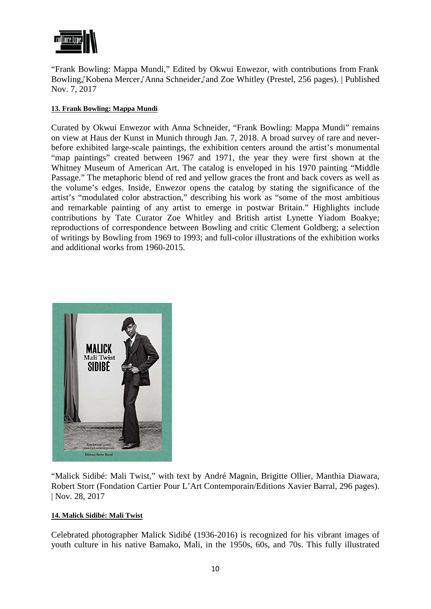

"Frank Bowling: Mappa Mundi," Edited by Okwui Enwezor, with contributions from Frank Bowling,Kobena Mercer, Anna Schneider,Cand Zoe Whitley (Prestel, 256 pages). | Published Nov. 7, 2017

# **13. Frank Bowling: Mappa Mundi**

Curated by Okwui Enwezor with Anna Schneider, "Frank Bowling: Mappa Mundi" remains on view at Haus der Kunst in Munich through Jan. 7, 2018. A broad survey of rare and neverbefore exhibited large-scale paintings, the exhibition centers around the artist's monumental "map paintings" created between 1967 and 1971, the year they were first shown at the Whitney Museum of American Art. The catalog is enveloped in his 1970 painting "Middle Passage." The metaphoric blend of red and yellow graces the front and back covers as well as the volume's edges. Inside, Enwezor opens the catalog by stating the significance of the artist's "modulated color abstraction," describing his work as "some of the most ambitious and remarkable painting of any artist to emerge in postwar Britain." Highlights include contributions by Tate Curator Zoe Whitley and British artist Lynette Yiadom Boakye; reproductions of correspondence between Bowling and critic Clement Goldberg; a selection of writings by Bowling from 1969 to 1993; and full-color illustrations of the exhibition works and additional works from 1960-2015.



"Malick Sidibé: Mali Twist," with text by André Magnin, Brigitte Ollier, Manthia Diawara, Robert Storr (Fondation Cartier Pour L'Art Contemporain/Editions Xavier Barral, 296 pages). | Nov. 28, 2017

## **14. Malick Sidibé: Mali Twist**

Celebrated photographer Malick Sidibé (1936-2016) is recognized for his vibrant images of youth culture in his native Bamako, Mali, in the 1950s, 60s, and 70s. This fully illustrated